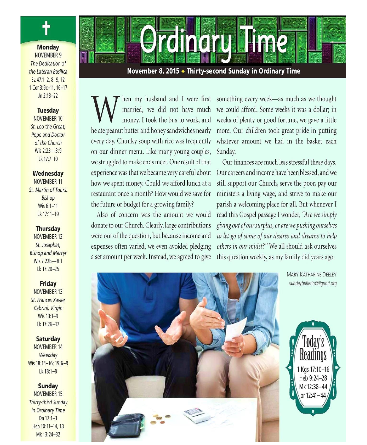

married, we did not have much money. I took the bus to work, and he ate peanut butter and honey sandwiches nearly every day. Chunky soup with rice was frequently on our dinner menu. Like many young couples, we struggled to make ends meet. One result of that experience was that we became very careful about how we spent money. Could we afford lunch at a restaurant once a month? How would we save for the future or budget for a growing family?

Also of concern was the amount we would donate to our Church. Clearly, large contributions were out of the question, but because income and expenses often varied, we even avoided pledging a set amount per week. Instead, we agreed to give

hen my husband and I were first something every week-as much as we thought we could afford. Some weeks it was a dollar; in weeks of plenty or good fortune, we gave a little more. Our children took great pride in putting whatever amount we had in the basket each Sunday.

> Our finances are much less stressful these days. Our careers and income have been blessed, and we still support our Church, serve the poor, pay our ministers a living wage, and strive to make our parish a welcoming place for all. But whenever I read this Gospel passage I wonder, "Are we simply giving out of our surplus, or are we pushing ourselves to let go of some of our desires and dreams to help others in our midst?" We all should ask ourselves this question weekly, as my family did years ago.



**MARY KATHARINE DEELEY** sundaybulletin@liquori.org



#### **Monday NOVEMBER 9** The Dedication of the Lateran Basilica Ez 47:1-2, 8-9, 12 1 Cor 3:9c-11, 16-17  $ln 2:13-22$

#### **Tuesday**

NOVEMBER 10 St. Leo the Great, **Pope and Doctor** of the Church Wis 2:23-3:9 Lk 17:7-10

Wednesday

NOVEMBER 11 St. Martin of Tours, **Bishop** Wis 6:1-11 Lk 17:11-19

#### **Thursday**

NOVEMBER 12 St. Josaphat, **Bishop and Martyr** Wis 7:22b-8:1 Lk 17:20-25

**Friday NOVEMBER 13** 

**St. Frances Xavier** Cabrini, Virgin Wis 13:1-9 Lk 17:26-37

Saturday NOVEMBER 14 Weekday Wis 18:14-16; 19:6-9  $1k$  18:1-8

#### Sunday

NOVEMBER 15 Thirty-third Sunday in Ordinary Time Dn 12:1-3 Heb 10:11-14, 18 Mk 13:24-32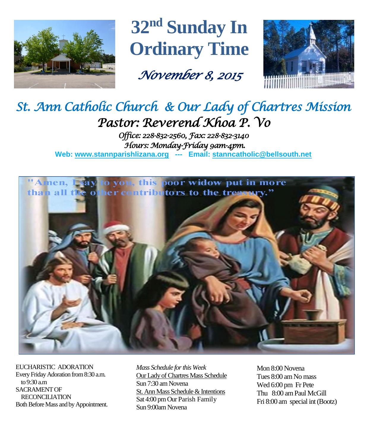

**32nd Sunday In Ordinary Time**

*November 8, 2015* 



# *St. Ann Catholic Church & Our Lady of Chartres Mission Pastor: Reverend Khoa P. Vo*

*Office: 228-832-2560, Fax: 228-832-3140 Hours: Monday-Friday 9am-4pm.*  **Web: www.stannparishlizana.org --- Email: [stanncatholic@bellsouth.net](mailto:stanncatholic@bellsouth.net)**



EUCHARISTIC ADORATION Every Friday Adoration from 8:30 a.m. to 9:30 a.m SACRAMENT OF RECONCILIATION Both Before Mass and by Appointment.

*Mass Schedule for this Week*  Our Lady of Chartres Mass Schedule Sun 7:30 am Novena St. Ann Mass Schedule & Intentions Sat 4:00 pm Our Parish Family Sun 9:00am Novena

Mon 8:00 Novena Tues 8:00 am No mass Wed 6:00 pm Fr Pete Thu 8:00 amPaul McGill Fri 8:00 am special int (Bootz)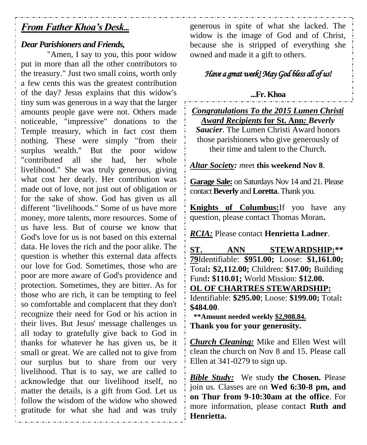## *From Father Khoa's Desk...*

## *Dear Parishioners and Friends,*

"Amen, I say to you, this poor widow put in more than all the other contributors to the treasury." Just two small coins, worth only a few cents this was the greatest contribution of the day? Jesus explains that this widow's tiny sum was generous in a way that the larger amounts people gave were not. Others made noticeable, "impressive" donations to the Temple treasury, which in fact cost them nothing. These were simply "from their surplus wealth." But the poor widow "contributed all she had, her whole livelihood." She was truly generous, giving what cost her dearly. Her contribution was made out of love, not just out of obligation or for the sake of show. God has given us all different "livelihoods." Some of us have more money, more talents, more resources. Some of us have less. But of course we know that God's love for us is not based on this external data. He loves the rich and the poor alike. The question is whether this external data affects our love for God. Sometimes, those who are poor are more aware of God's providence and protection. Sometimes, they are bitter. As for those who are rich, it can be tempting to feel so comfortable and complacent that they don't recognize their need for God or his action in their lives. But Jesus' message challenges us all today to gratefully give back to God in thanks for whatever he has given us, be it small or great. We are called not to give from our surplus but to share from our very livelihood. That is to say, we are called to acknowledge that our livelihood itself, no matter the details, is a gift from God. Let us follow the wisdom of the widow who showed gratitude for what she had and was truly

generous in spite of what she lacked. The widow is the image of God and of Christ, because she is stripped of everything she owned and made it a gift to others.

## *Have a great week! May God bless all of us!*

## **...Fr. Khoa**

*Congratulations To the 2015 Lumen Christi Award Recipients* **for St. Ann***: Beverly Saucier*. The Lumen Christi Award honors those parishioners who give generously of their time and talent to the Church.

*Altar Society: m*eet **this weekend Nov 8**.

**Garage Sale:** on Saturdays Nov 14 and 21. Please contact **Beverly** and**Loretta**. Thank you.

**Knights of Columbus:**If you have any question, please contact Thomas Moran**.**

*RCIA:* Please contact **Henrietta Ladner**.

**ST. ANN STEWARDSHIP:\*\* 79**Identifiable: **\$951.00;** Loose: **\$1,161.00;**  Total**: \$2,112.00;** Children: **\$17.00;** Building Fund**: \$110.01;** World Mission: **\$12.00. OL OF CHARTRES STEWARDSHIP:** Identifiable: **\$295.00**; Loose: **\$199.00;** Total**: \$484.00**.  **\*\*Amount needed weekly \$2,908.84.**

**Thank you for your generosity.**

*Church Cleaning:* Mike and Ellen West will clean the church on Nov 8 and 15. Please call Ellen at 341-0279 to sign up.

*Bible Study:* We study **the Chosen.** Please join us. Classes are on **Wed 6:30-8 pm, and on Thur from 9-10:30am at the office**. For more information, please contact **Ruth and Henrietta.**